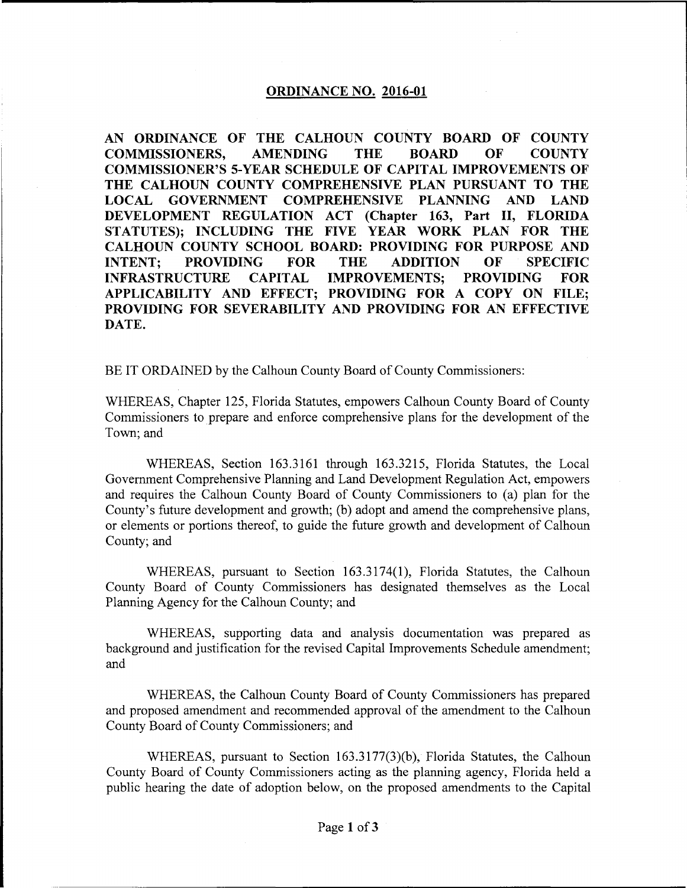# **ORDINANCE NO. 2016-01**

**AN ORDINANCE OF THE CALHOUN COUNTY BOARD OF COUNTY COMMISSIONERS, AMENDING THE BOARD OF COUNTY COMMISSIONER'S 5-YEAR SCHEDULE OF CAPITAL IMPROVEMENTS OF THE CALHOUN COUNTY COMPREHENSIVE PLAN PURSUANT TO THE LOCAL GOVERNMENT COMPREHENSIVE PLANNING AND LAND DEVELOPMENT REGULATION ACT (Chapter 163, Part II, FLORIDA STATUTES); INCLUDING THE FIVE YEAR WORK PLAN FOR THE CALHOUN COUNTY SCHOOL BOARD: PROVIDING FOR PURPOSE AND INTENT; PROVIDING FOR THE ADDITION OF SPECIFIC INFRASTRUCTURE CAPITAL IMPROVEMENTS; PROVIDING FOR APPLICABILITY AND EFFECT; PROVIDING FOR A COPY ON FILE; PROVIDING FOR SEVERABILITY AND PROVIDING FOR AN EFFECTIVE DATE.** 

BE IT ORDAINED by the Calhoun County Board of County Commissioners:

WHEREAS, Chapter 125, Florida Statutes, empowers Calhoun County Board of County Commissioners to prepare and enforce comprehensive plans for the development of the Town; and

WHEREAS, Section 163.3161 through 163.3215, Florida Statutes, the Local Government Comprehensive Planning and Land Development Regulation Act, empowers and requires the Calhoun County Board of County Commissioners to (a) plan for the County's future development and growth; (b) adopt and amend the comprehensive plans, or elements or portions thereof, to guide the future growth and development of Calhoun County; and

WHEREAS, pursuant to Section 163.3174(1), Florida Statutes, the Calhoun County Board of County Commissioners has designated themselves as the Local Planning Agency for the Calhoun County; and

WHEREAS, supporting data and analysis documentation was prepared as background and justification for the revised Capital Improvements Schedule amendment; and

WHEREAS, the Calhoun County Board of County Commissioners has prepared and proposed amendment and recommended approval of the amendment to the Calhoun County Board of County Commissioners; and

WHEREAS, pursuant to Section  $163.3177(3)$ (b), Florida Statutes, the Calhoun County Board of County Commissioners acting as the planning agency, Florida held a public hearing the date of adoption below, on the proposed amendments to the Capital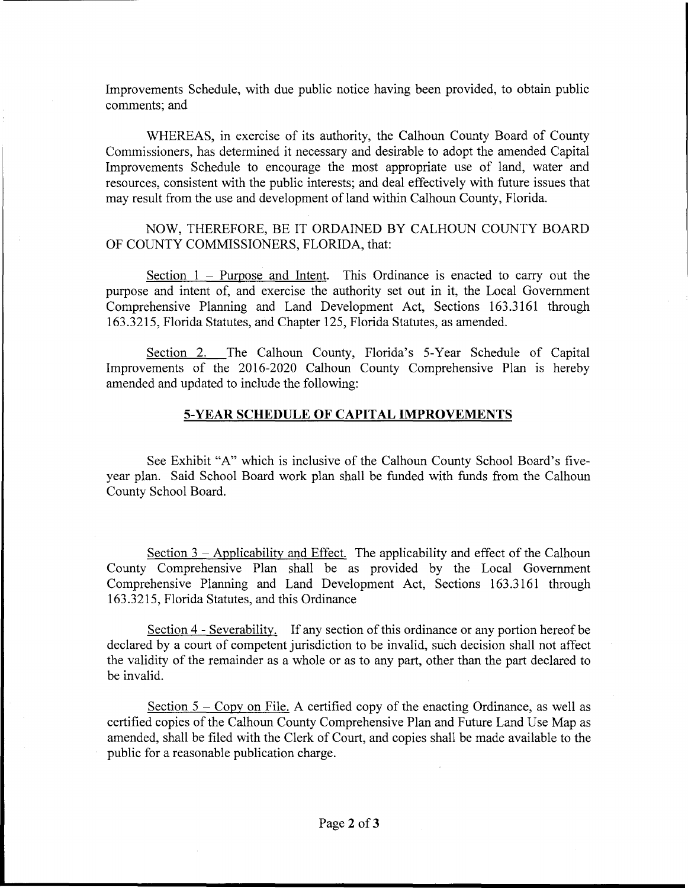Improvements Schedule, with due public notice having been provided, to obtain public comments; and

WHEREAS, in exercise of its authority, the Calhoun County Board of County Commissioners, has determined it necessary and desirable to adopt the amended Capital Improvements Schedule to encourage the most appropriate use of land, water and resources, consistent with the public interests; and deal effectively with future issues that may result from the use and development of land within Calhoun County, Florida.

# NOW, THEREFORE, BE IT ORDAINED BY CALHOUN COUNTY BOARD OF COUNTY COMMISSIONERS, FLORIDA, that:

Section  $1$  – Purpose and Intent. This Ordinance is enacted to carry out the purpose and intent of, and exercise the authority set out in it, the Local Government Comprehensive Planning and Land Development Act, Sections 163.3161 through 163.3215, Florida Statutes, and Chapter 125, Florida Statutes, as amended.

Section 2. The Calhoun County, Florida's 5-Year Schedule of Capital Improvements of the 2016-2020 Calhoun County Comprehensive Plan is hereby amended and updated to include the following:

# **5-YEAR SCHEDULE OF CAPITAL IMPROVEMENTS**

See Exhibit "A" which is inclusive of the Calhoun County School Board's fiveyear plan. Said School Board work plan shall be funded with funds from the Calhoun County School Board.

Section  $3$  - Applicability and Effect. The applicability and effect of the Calhoun County Comprehensive Plan shall be as provided by the Local Government Comprehensive Planning and Land Development Act, Sections 163.3161 through 163.3215, Florida Statutes, and this Ordinance

Section 4 - Severability. If any section of this ordinance or any portion hereof be declared by a court of competent jurisdiction to be invalid, such decision shall not affect the validity of the remainder as a whole or as to any part, other than the part declared to be invalid.

Section  $5 - Copy$  on File. A certified copy of the enacting Ordinance, as well as certified copies of the Calhoun County Comprehensive Plan and Future Land Use Map as amended, shall be filed with the Clerk of Court, and copies shall be made available to the public for a reasonable publication charge.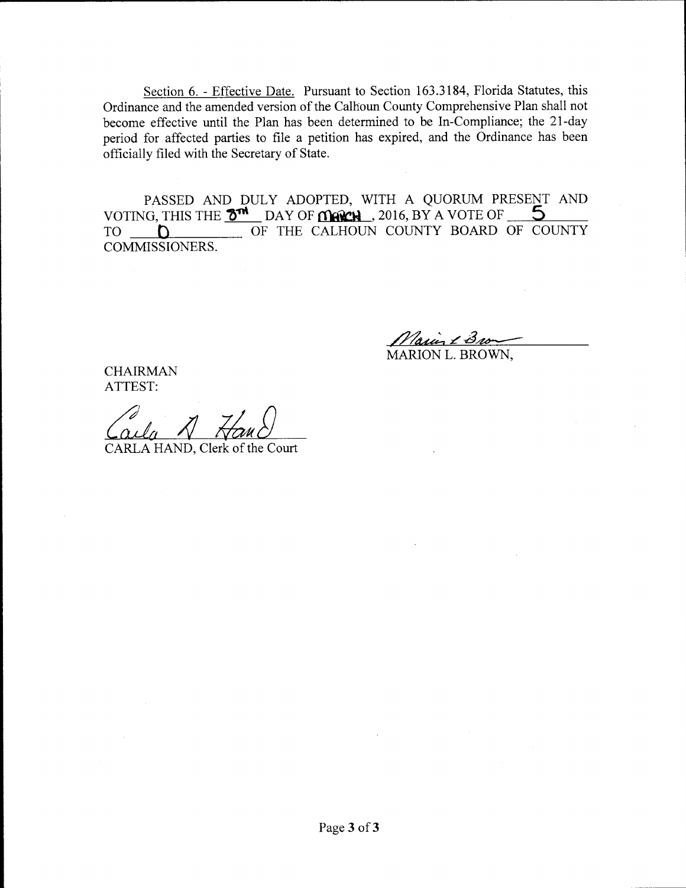Section 6. - Effective Date. Pursuant to Section 163.3184, Florida Statutes, this Ordinance and the amended version of the Calhoun County Comprehensive Plan shall not become effective until the Plan has been determined to be In-Compliance; the 21-day period for affected parties to file a petition has expired, and the Ordinance has been officially filed with the Secretary of State.

PASSED AND DULY ADOPTED, WITH A QUORUM PRESENT AND VOTING, THIS THE **3<sup>TM</sup>** DAY OF **MERCH**, 2016, BY A VOTE OF <u>S</u><br>TO <u>D</u> OF THE CALHOUN COUNTY BOARD OF COUNTY COMMISSIONERS.

Naun 13 MARION L. BROWN,

CHAIRMAN ATTEST:

CARLA HAND, Clerk of the Court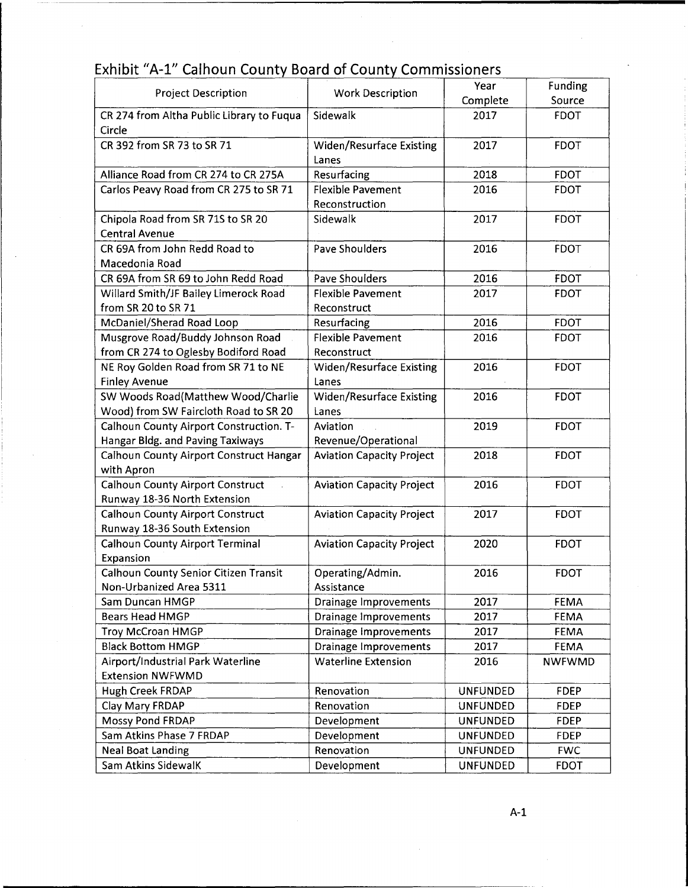# **Exhibit "A-1" Calhoun County Board of County Commissioners**

| <b>Project Description</b>                          | <b>Work Description</b>          | Year            | Funding       |
|-----------------------------------------------------|----------------------------------|-----------------|---------------|
|                                                     |                                  | Complete        | Source        |
| CR 274 from Altha Public Library to Fuqua<br>Circle | Sidewalk                         | 2017            | <b>FDOT</b>   |
| CR 392 from SR 73 to SR 71                          | <b>Widen/Resurface Existing</b>  | 2017            | <b>FDOT</b>   |
|                                                     | Lanes                            |                 |               |
| Alliance Road from CR 274 to CR 275A                | Resurfacing                      | 2018            | <b>FDOT</b>   |
| Carlos Peavy Road from CR 275 to SR 71              | <b>Flexible Pavement</b>         | 2016            | <b>FDOT</b>   |
|                                                     | Reconstruction                   |                 |               |
| Chipola Road from SR 71S to SR 20                   | Sidewalk                         | 2017            | <b>FDOT</b>   |
| <b>Central Avenue</b>                               |                                  |                 |               |
| CR 69A from John Redd Road to                       | <b>Pave Shoulders</b>            | 2016            | <b>FDOT</b>   |
| Macedonia Road                                      |                                  |                 |               |
| CR 69A from SR 69 to John Redd Road                 | <b>Pave Shoulders</b>            | 2016            | <b>FDOT</b>   |
| Willard Smith/JF Bailey Limerock Road               | <b>Flexible Pavement</b>         | 2017            | <b>FDOT</b>   |
| from SR 20 to SR 71                                 | Reconstruct                      |                 |               |
| McDaniel/Sherad Road Loop                           | Resurfacing                      | 2016            | <b>FDOT</b>   |
| Musgrove Road/Buddy Johnson Road                    | <b>Flexible Pavement</b>         | 2016            | <b>FDOT</b>   |
| from CR 274 to Oglesby Bodiford Road                | Reconstruct                      |                 |               |
| NE Roy Golden Road from SR 71 to NE                 | <b>Widen/Resurface Existing</b>  | 2016            | <b>FDOT</b>   |
| <b>Finley Avenue</b>                                | Lanes                            |                 |               |
| SW Woods Road(Matthew Wood/Charlie                  | Widen/Resurface Existing         | 2016            | <b>FDOT</b>   |
| Wood) from SW Faircloth Road to SR 20               | Lanes                            |                 |               |
| Calhoun County Airport Construction. T-             | Aviation                         | 2019            | <b>FDOT</b>   |
| Hangar Bldg. and Paving Taxiways                    | Revenue/Operational              |                 |               |
| Calhoun County Airport Construct Hangar             | <b>Aviation Capacity Project</b> | 2018            | <b>FDOT</b>   |
| with Apron                                          |                                  |                 |               |
| Calhoun County Airport Construct                    | <b>Aviation Capacity Project</b> | 2016            | <b>FDOT</b>   |
| Runway 18-36 North Extension                        |                                  |                 |               |
| <b>Calhoun County Airport Construct</b>             | <b>Aviation Capacity Project</b> | 2017            | <b>FDOT</b>   |
| Runway 18-36 South Extension                        |                                  | 2020            | <b>FDOT</b>   |
| <b>Calhoun County Airport Terminal</b><br>Expansion | <b>Aviation Capacity Project</b> |                 |               |
| <b>Calhoun County Senior Citizen Transit</b>        | Operating/Admin.                 | 2016            | <b>FDOT</b>   |
| Non-Urbanized Area 5311                             | Assistance                       |                 |               |
| Sam Duncan HMGP                                     | Drainage Improvements            | 2017            | <b>FEMA</b>   |
| Bears Head HMGP                                     | Drainage Improvements            | 2017            | <b>FEMA</b>   |
| Troy McCroan HMGP                                   | <b>Drainage Improvements</b>     | 2017            | <b>FEMA</b>   |
| <b>Black Bottom HMGP</b>                            | <b>Drainage Improvements</b>     | 2017            | <b>FEMA</b>   |
| Airport/Industrial Park Waterline                   | <b>Waterline Extension</b>       | 2016            | <b>NWFWMD</b> |
| <b>Extension NWFWMD</b>                             |                                  |                 |               |
| Hugh Creek FRDAP                                    | Renovation                       | <b>UNFUNDED</b> | <b>FDEP</b>   |
| Clay Mary FRDAP                                     | Renovation                       | <b>UNFUNDED</b> | <b>FDEP</b>   |
| Mossy Pond FRDAP                                    | Development                      | <b>UNFUNDED</b> | <b>FDEP</b>   |
| Sam Atkins Phase 7 FRDAP                            | Development                      | <b>UNFUNDED</b> | <b>FDEP</b>   |
| <b>Neal Boat Landing</b>                            | Renovation                       | <b>UNFUNDED</b> | <b>FWC</b>    |
| Sam Atkins SidewalK                                 | Development                      | <b>UNFUNDED</b> | <b>FDOT</b>   |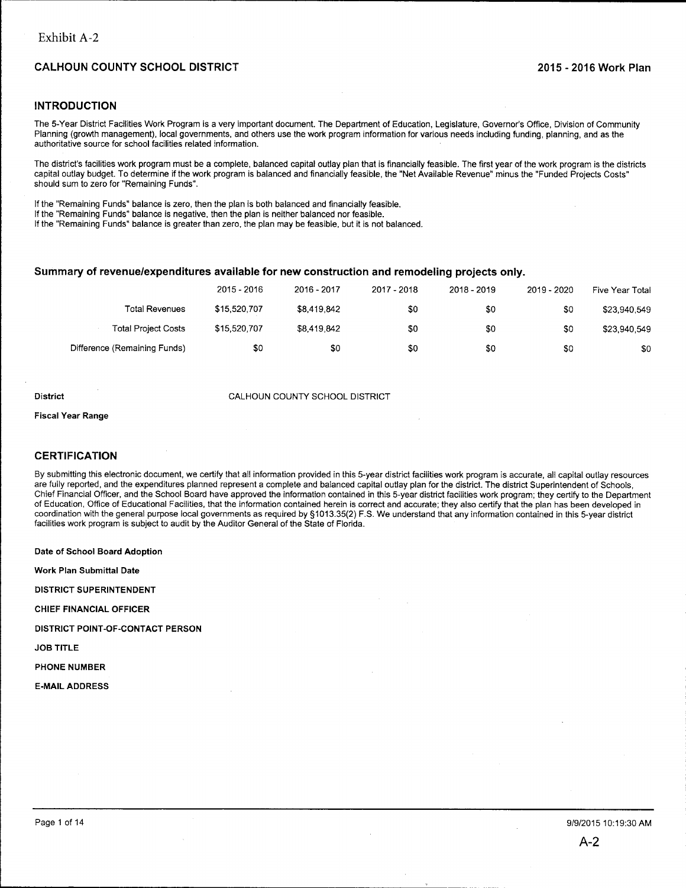# **INTRODUCTION**

The 5-Year District Facilities Work Program is a very important document. The Department of Education, Legislature, Governor's Office, Division of Community Planning (growth management), local governments, and others use the work program information for various needs including funding, planning, and as the authoritative source for school facilities related information.

The district's facilities work program must be a complete, balanced capital outlay plan that is financially feasible. The first year of the work program is the districts capital outlay budget. To determine if the work program is balanced and financially feasible, the "Net Available Revenue" minus the "Funded Projects Costs" should sum to zero for "Remaining Funds".

If the "Remaining Funds" balance is zero, then the plan is both balanced and financially feasible.

If the "Remaining Funds" balance is negative, then the plan is neither balanced nor feasible.

If the "Remaining Funds" balance is greater than zero, the plan may be feasible, but it is not balanced.

## **Summary of revenue/expenditures available for new construction and remodeling projects only.**

|                              | 2015 - 2016  | 2016 - 2017 | 2017 - 2018 | 2018 - 2019 | 2019 - 2020 | Five Year Total |
|------------------------------|--------------|-------------|-------------|-------------|-------------|-----------------|
| Total Revenues               | \$15,520.707 | \$8,419,842 | \$0         | \$0         | \$0         | \$23,940,549    |
| <b>Total Project Costs</b>   | \$15,520,707 | \$8.419.842 | \$0         | \$0         | \$0         | \$23,940,549    |
| Difference (Remaining Funds) | \$0          | \$0         | \$0         | \$0         | \$0         | \$0             |

#### **District** CALHOUN COUNTY SCHOOL DISTRICT

**Fiscal Year Range** 

#### **CERTIFICATION**

By submitting this electronic document, we certify that all information provided in this 5-year district facilities work program is accurate, all capital outlay resources are fully reported, and the expenditures planned represent a complete and balanced capital outlay plan for the district. The district Superintendent of Schools, Chief Financial Officer, and the School Board have approved the information contained in this 5-year district facilities work program; they certify to the Department of Education, Office of Educational Facilities, that the information contained herein is correct and accurate; they also certify that the plan has been developed in coordination with the general purpose local governments as required by §1013.35(2) F.S. We understand that any information contained in this 5-year district facilities work program is subject to audit by the Auditor General of the State of Florida.

**Date of School Board Adoption** 

**Work Plan Submittal Date** 

**DISTRICT SUPERINTENDENT** 

**CHIEF FINANCIAL OFFICER** 

**DISTRICT POINT-OF-CONTACT PERSON** 

**JOB TITLE** 

**PHONE NUMBER** 

**E-MAIL ADDRESS**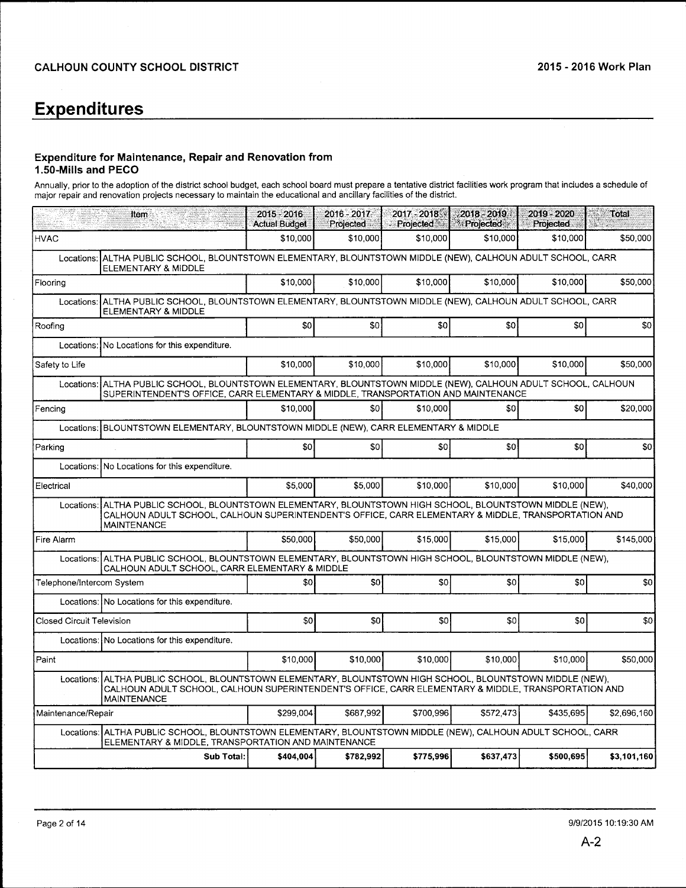# **Expenditures**

# **Expenditure for Maintenance, Repair and Renovation from 1.50-Mills and PECO**

Annually, prior to the adoption of the district school budget, each school board must prepare a tentative district facilities work program that includes a schedule of major repair and renovation projects necessary to maintain the educational and ancillary facilities of the district.

|                           | to the most<br>Item                                                                                                                                                                                                                        | 2015 - 2016<br><b>Actual Budget</b> | $2016 - 2017$<br>Projected | $2017 - 2018$<br>Projected | $2018 - 2019$<br>Projected | 2019 - 2020<br>Projected | AI W<br>Total |  |  |  |  |
|---------------------------|--------------------------------------------------------------------------------------------------------------------------------------------------------------------------------------------------------------------------------------------|-------------------------------------|----------------------------|----------------------------|----------------------------|--------------------------|---------------|--|--|--|--|
| <b>HVAC</b>               |                                                                                                                                                                                                                                            | \$10,000                            | \$10,000                   | \$10.000                   | \$10,000                   | \$10,000                 | \$50,000      |  |  |  |  |
| Locations:                | ALTHA PUBLIC SCHOOL, BLOUNTSTOWN ELEMENTARY, BLOUNTSTOWN MIDDLE (NEW), CALHOUN ADULT SCHOOL, CARR<br>ELEMENTARY & MIDDLE                                                                                                                   |                                     |                            |                            |                            |                          |               |  |  |  |  |
| Flooring                  |                                                                                                                                                                                                                                            | \$10,000                            | \$10,000                   | \$10,000                   | \$10,000                   | \$10,000                 | \$50,000      |  |  |  |  |
| Locations:                | ALTHA PUBLIC SCHOOL, BLOUNTSTOWN ELEMENTARY, BLOUNTSTOWN MIDDLE (NEW), CALHOUN ADULT SCHOOL, CARR<br>ELEMENTARY & MIDDLE                                                                                                                   |                                     |                            |                            |                            |                          |               |  |  |  |  |
| Roofing                   |                                                                                                                                                                                                                                            | \$0                                 | SO <sub>2</sub>            | \$0                        | \$O                        | \$0                      | \$0           |  |  |  |  |
| Locations:                | No Locations for this expenditure.                                                                                                                                                                                                         |                                     |                            |                            |                            |                          |               |  |  |  |  |
| Safety to Life            |                                                                                                                                                                                                                                            | \$10,000                            | \$10,000                   | \$10,000                   | \$10,000                   | \$10,000                 | \$50,000      |  |  |  |  |
| Locations:                | ALTHA PUBLIC SCHOOL, BLOUNTSTOWN ELEMENTARY, BLOUNTSTOWN MIDDLE (NEW), CALHOUN ADULT SCHOOL, CALHOUN<br>SUPERINTENDENT'S OFFICE, CARR ELEMENTARY & MIDDLE, TRANSPORTATION AND MAINTENANCE                                                  |                                     |                            |                            |                            |                          |               |  |  |  |  |
| Fencing                   |                                                                                                                                                                                                                                            | \$10,000                            | \$0                        | \$10,000                   | \$0                        | \$0                      | \$20,000      |  |  |  |  |
| Locations:                | BLOUNTSTOWN ELEMENTARY, BLOUNTSTOWN MIDDLE (NEW), CARR ELEMENTARY & MIDDLE                                                                                                                                                                 |                                     |                            |                            |                            |                          |               |  |  |  |  |
| Parking                   |                                                                                                                                                                                                                                            | \$0                                 | \$0                        | \$0                        | \$0                        | \$0                      | \$0           |  |  |  |  |
| Locations:                | No Locations for this expenditure.                                                                                                                                                                                                         |                                     |                            |                            |                            |                          |               |  |  |  |  |
| Electrical                |                                                                                                                                                                                                                                            | \$5,000                             | \$5,000                    | \$10,000                   | \$10,000                   | \$10,000                 | \$40,000      |  |  |  |  |
| Locations:                | ALTHA PUBLIC SCHOOL, BLOUNTSTOWN ELEMENTARY, BLOUNTSTOWN HIGH SCHOOL, BLOUNTSTOWN MIDDLE (NEW),<br>CALHOUN ADULT SCHOOL, CALHOUN SUPERINTENDENT'S OFFICE, CARR ELEMENTARY & MIDDLE, TRANSPORTATION AND<br><b>MAINTENANCE</b>               |                                     |                            |                            |                            |                          |               |  |  |  |  |
| Fire Alarm                |                                                                                                                                                                                                                                            | \$50,000                            | \$50,000                   | \$15,000                   | \$15.000                   | \$15,000                 | \$145,000     |  |  |  |  |
|                           | Locations: ALTHA PUBLIC SCHOOL, BLOUNTSTOWN ELEMENTARY, BLOUNTSTOWN HIGH SCHOOL, BLOUNTSTOWN MIDDLE (NEW),<br>CALHOUN ADULT SCHOOL, CARR ELEMENTARY & MIDDLE                                                                               |                                     |                            |                            |                            |                          |               |  |  |  |  |
| Telephone/Intercom System |                                                                                                                                                                                                                                            | \$0                                 | sol                        | \$0                        | \$0                        | \$0                      | \$0           |  |  |  |  |
|                           | Locations: No Locations for this expenditure.                                                                                                                                                                                              |                                     |                            |                            |                            |                          |               |  |  |  |  |
| Closed Circuit Television |                                                                                                                                                                                                                                            | SO                                  | \$0                        | \$0                        | \$0                        | \$0                      | \$0           |  |  |  |  |
|                           | Locations: No Locations for this expenditure.                                                                                                                                                                                              |                                     |                            |                            |                            |                          |               |  |  |  |  |
| Paint                     |                                                                                                                                                                                                                                            | \$10,000                            | \$10,000                   | \$10,000                   | \$10,000                   | \$10,000                 | \$50,000      |  |  |  |  |
|                           | ALTHA PUBLIC SCHOOL, BLOUNTSTOWN ELEMENTARY, BLOUNTSTOWN HIGH SCHOOL, BLOUNTSTOWN MIDDLE (NEW),<br>Locations:<br>CALHOUN ADULT SCHOOL, CALHOUN SUPERINTENDENT'S OFFICE, CARR ELEMENTARY & MIDDLE, TRANSPORTATION AND<br><b>MAINTENANCE</b> |                                     |                            |                            |                            |                          |               |  |  |  |  |
| Maintenance/Repair        |                                                                                                                                                                                                                                            | \$299,004                           | \$687,992                  | \$700,996                  | \$572,473                  | \$435,695                | \$2,696,160   |  |  |  |  |
|                           | Locations: ALTHA PUBLIC SCHOOL, BLOUNTSTOWN ELEMENTARY, BLOUNTSTOWN MIDDLE (NEW), CALHOUN ADULT SCHOOL, CARR<br>ELEMENTARY & MIDDLE, TRANSPORTATION AND MAINTENANCE                                                                        |                                     |                            |                            |                            |                          |               |  |  |  |  |
|                           | Sub Total:                                                                                                                                                                                                                                 | \$404,004                           | \$782,992                  | \$775,996                  | \$637,473                  | \$500,695                | \$3,101,160   |  |  |  |  |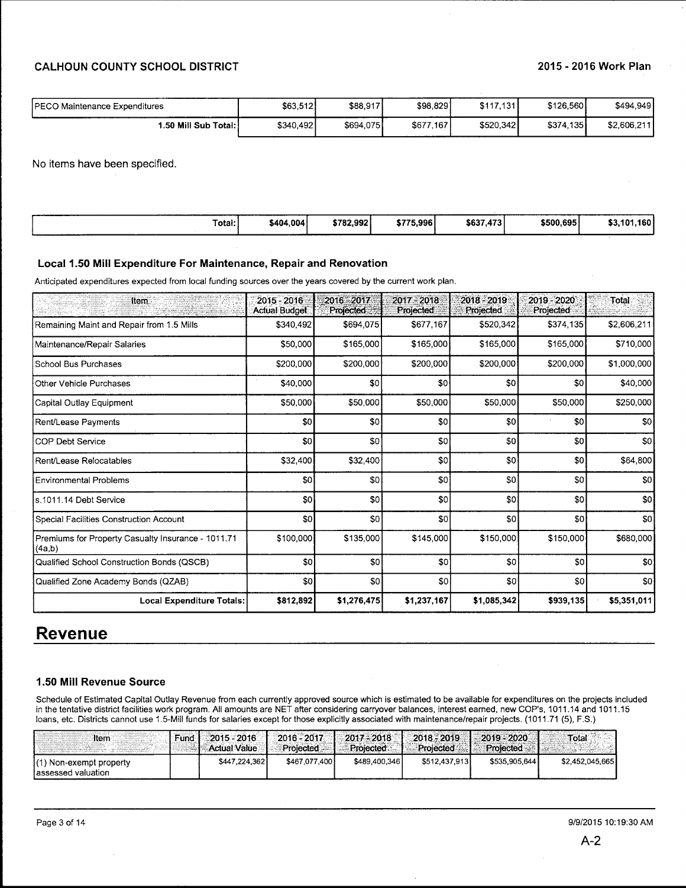| PECO Maintenance Expenditures | \$63,512  | \$88,917  | \$98,829  | \$117,131 | \$126,560 | \$494.949   |
|-------------------------------|-----------|-----------|-----------|-----------|-----------|-------------|
| 1.50 Mill Sub Total:          | \$340,492 | \$694,075 | \$677,167 | \$520,342 | \$374,135 | \$2,606,211 |

No items have been specified.

| with the state of the company of the company of the company of the company of the company of the company of the company of the company of the company of the company of the company of the company of the company of the compa<br>-----<br>Total: | \$404.004 | \$782,992 | ______<br>\$775.996<br>ъ. | \$637<br>473 | \$500.695 | .160'<br>\$3,10' |
|---------------------------------------------------------------------------------------------------------------------------------------------------------------------------------------------------------------------------------------------------|-----------|-----------|---------------------------|--------------|-----------|------------------|
|                                                                                                                                                                                                                                                   |           |           |                           |              |           |                  |

### **Local 1.50 Mill Expenditure For Maintenance, Repair and Renovation**

Anticipated expenditures expected from local funding sources over the years covered by the current work plan .

| <b>Item</b>                                                  | $2015 - 2016$<br><b>Actual Budget</b> | 2016 - 2017<br><b>Projected</b> | 2017 - 2018<br>Projected | $2018 - 2019$<br>Projected | 2019 - 2020<br>Projected | <b>Total</b>    |
|--------------------------------------------------------------|---------------------------------------|---------------------------------|--------------------------|----------------------------|--------------------------|-----------------|
| Remaining Maint and Repair from 1.5 Mills                    | \$340,492                             | \$694,075                       | \$677,167                | \$520,342                  | \$374,135                | \$2,606,211     |
| Maintenance/Repair Salaries                                  | \$50,000                              | \$165,000                       | \$165,000                | \$165,000                  | \$165,000                | \$710,000       |
| School Bus Purchases                                         | \$200,000                             | \$200,000                       | \$200,000                | \$200,000                  | \$200,000                | \$1,000,000     |
| Other Vehicle Purchases                                      | \$40,000                              | \$0                             | \$0                      | \$0                        | \$0                      | \$40,000        |
| Capital Outlay Equipment                                     | \$50,000                              | \$50,000                        | \$50,000                 | \$50,000                   | \$50,000                 | \$250,000       |
| Rent/Lease Payments                                          | \$0                                   | \$0                             | \$0                      | \$0                        | \$0                      | \$0             |
| COP Debt Service                                             | \$0                                   | \$0                             | \$0                      | \$0                        | \$0                      | 30              |
| Rent/Lease Relocatables                                      | \$32,400                              | \$32,400                        | \$0                      | \$0                        | \$0                      | \$64,800        |
| Environmental Problems                                       | \$0                                   | \$0                             | \$0                      | \$0                        | \$0                      | \$0             |
| ls.1011.14 Debt Service                                      | \$0                                   | \$0                             | \$0                      | \$0                        | \$0                      | 30 <sub>1</sub> |
| Special Facilities Construction Account                      | \$0                                   | \$0                             | \$O                      | 30                         | \$0                      | SO              |
| Premiums for Property Casualty Insurance - 1011.71<br>(4a,b) | \$100,000                             | \$135,000                       | \$145,000                | \$150,000                  | \$150,000                | \$680,000       |
| Qualified School Construction Bonds (QSCB)                   | \$0                                   | \$0                             | \$0                      | \$0                        | \$0                      | \$0             |
| Qualified Zone Academy Bonds (QZAB)                          | \$0                                   | \$0                             | \$0                      | \$0                        | \$0                      | 30              |
| Local Expenditure Totals:                                    | \$812,892                             | \$1,276,475                     | \$1,237,167              | \$1,085,342                | \$939,135                | \$5,351,011     |

# **Revenue**

#### **1.50 Mill Revenue Source**

Schedule of Estimated Capital Outlay Revenue from each currently approved source which is estimated to be available for expenditures on the projects included in the tentative district facilities work program. All amounts are NET after considering carryover balances, interest earned, new COP's, 1011.14 and 1011.15 loans, etc. Districts cannot use 1.5-Mill funds for salaries except for those explicitly associated with maintenance/repair projects. (1011.71 (5), F.S.)

| Item                                           | <b>Fund</b> | 2015 - 2016<br><b>Actual Value</b> | $2016 - 2017$<br>Projected | $-2017 - 2018$<br>Projected | $2018 - 2019$<br>Projected | $1.2019 - 2020$<br>Proiected - | Total           |
|------------------------------------------------|-------------|------------------------------------|----------------------------|-----------------------------|----------------------------|--------------------------------|-----------------|
| (1) Non-exempt property<br>lassessed valuation |             | \$447.224.362                      | \$467.077.400              | \$489,400,346               | \$512,437,913              | \$535,905,644                  | \$2,452,045,665 |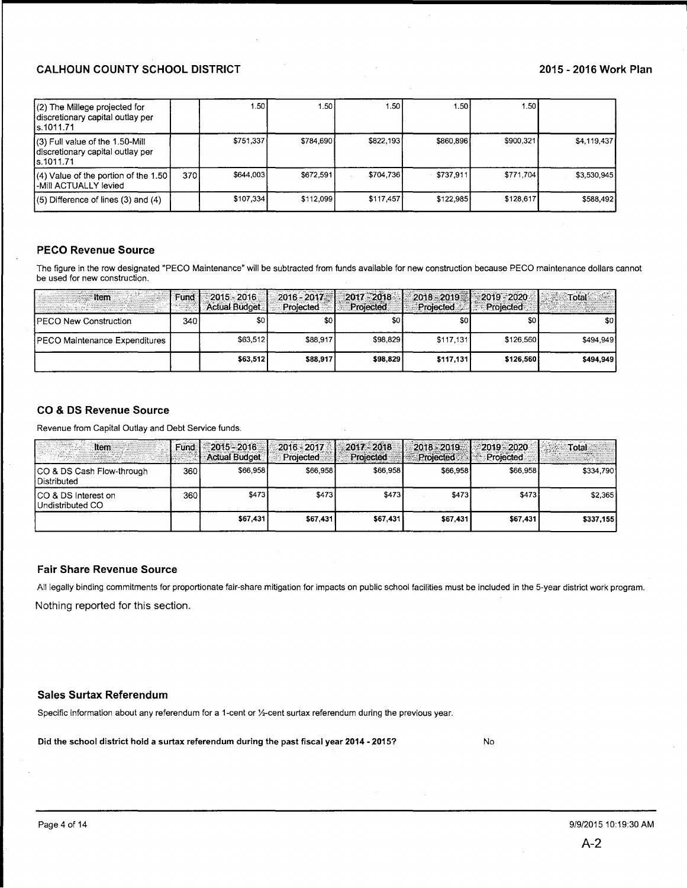| (2) The Millege projected for<br>discretionary capital outlay per<br>ls.1011.71    |       | 1.50 L    | I.50 I    | 1.50      | 1.50      | 1.50      |             |
|------------------------------------------------------------------------------------|-------|-----------|-----------|-----------|-----------|-----------|-------------|
| (3) Full value of the 1.50-Mill<br>Idiscretionary capital outlay per<br>ls.1011.71 |       | \$751,337 | \$784,690 | \$822,193 | \$860,896 | \$900,321 | \$4,119,437 |
| $(4)$ Value of the portion of the 1.50<br>l-Mill ACTUALLY levied                   | 370 l | \$644,003 | \$672.591 | \$704,736 | \$737.911 | \$771,704 | \$3.530.945 |
| $(5)$ Difference of lines $(3)$ and $(4)$                                          |       | \$107,334 | \$112,099 | \$117,457 | \$122,985 | \$128,617 | \$588,492   |

## PECO Revenue Source

The figure in the row designated "PECO Maintenance" will be subtracted from funds available for new construction because PECO maintenance dollars cannot be used for new construction.

| <b>Item</b>                   | Fund | 2015 - 2016<br><b>Actual Budget</b> | 2016 - 2017<br>Projected | $2017 - 2018$<br>Projected | Projected | $2018 - 2019$ $\rightarrow 2019 - 2020$<br>Projected | Total     |
|-------------------------------|------|-------------------------------------|--------------------------|----------------------------|-----------|------------------------------------------------------|-----------|
| <b>IPECO New Construction</b> | 340  | \$0 I                               | \$0                      | \$0                        | \$0       | \$0                                                  | \$0       |
| PECO Maintenance Expenditures |      | \$63,512                            | \$88,917                 | \$98,829                   | \$117.131 | \$126,560                                            | \$494,949 |
|                               |      | \$63,512                            | \$88,917                 | \$98.829                   | \$117,131 | \$126.560                                            | \$494.949 |

# CO & DS Revenue Source

Revenue from Capital Outlay and Debt Service funds.

| Item                                       | <b>Fund</b> | 2015 - 2016<br><b>Actual Budget</b> | 2016 - 2017<br>Projected | 2017 - 2018<br>Projected | $2018 - 2019$<br>Projected | $-2019 - 2020$<br><b>Projected</b> | Total     |
|--------------------------------------------|-------------|-------------------------------------|--------------------------|--------------------------|----------------------------|------------------------------------|-----------|
| ICO & DS Cash Flow-through<br>Distributed  | 360         | \$66,9581                           | \$66,958                 | \$66,958                 | \$66,958                   | \$66,958                           | \$334,790 |
| ICO & DS Interest on<br>I Undistributed CO | 360         | \$473                               | \$473                    | \$473                    | \$473]                     | \$473                              | \$2.365   |
|                                            |             | \$67,431                            | \$67,431                 | \$67,431                 | \$67.431                   | \$67,431                           | \$337,155 |

#### Fair Share Revenue Source

All legally binding commitments for proportionate fair-share mitigation for impacts on public school facilities must be included in the 5-year district work program. Nothing reported for this section.

#### Sales Surtax Referendum

Specific information about any referendum for a 1-cent or %-cent surtax referendum during the previous year.

Did the school district hold a surtax referendum during the past fiscal year 2014 - 2015?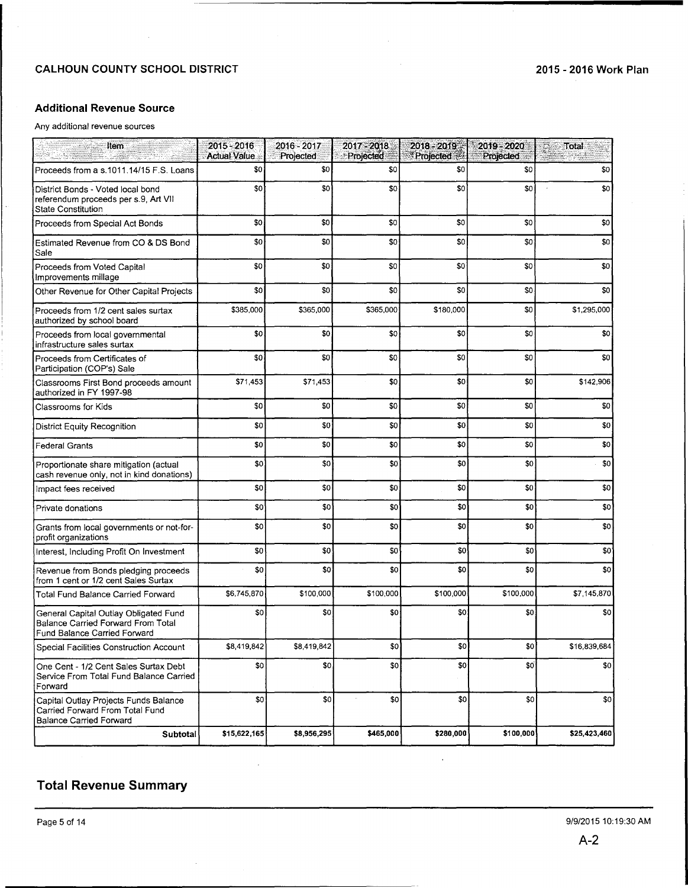# **Additional Revenue Source**

Any additional revenue sources

| Item                                                                                                               | 2015 - 2016<br><b>Actual Value</b> | 2016 - 2017<br>Projected | 2017 - 2018<br>Projected | $2018 - 2019$<br>Projected | 2019 - 2020<br>Projected | <b>Total</b> |
|--------------------------------------------------------------------------------------------------------------------|------------------------------------|--------------------------|--------------------------|----------------------------|--------------------------|--------------|
| Proceeds from a s.1011.14/15 F.S. Loans                                                                            | \$0                                | \$0                      | \$0                      | \$0                        | \$0                      | \$0          |
| District Bonds - Voted local bond<br>referendum proceeds per s.9, Art VII<br><b>State Constitution</b>             | \$0                                | \$0                      | \$0                      | \$0                        | \$0                      | \$0          |
| Proceeds from Special Act Bonds                                                                                    | \$0                                | \$0                      | \$0                      | \$0                        | \$0                      | \$0          |
| Estimated Revenue from CO & DS Bond<br>Sale                                                                        | \$0                                | \$0                      | \$0                      | \$0                        | \$0                      | \$0          |
| Proceeds from Voted Capital<br>Improvements millage                                                                | \$0                                | \$0                      | \$0                      | \$0                        | \$0                      | \$0          |
| Other Revenue for Other Capital Projects                                                                           | \$0                                | \$0                      | \$0                      | \$0                        | \$0                      | \$0          |
| Proceeds from 1/2 cent sales surtax<br>authorized by school board                                                  | \$385,000                          | \$365,000                | \$365,000                | \$180,000                  | \$0                      | \$1,295,000  |
| Proceeds from local governmental<br>infrastructure sales surtax                                                    | \$0                                | \$0                      | \$0                      | \$0                        | \$0                      | \$0          |
| Proceeds from Certificates of<br>Participation (COP's) Sale                                                        | \$0                                | \$0                      | \$0                      | \$0                        | \$0                      | \$0          |
| Classrooms First Bond proceeds amount<br>authorized in FY 1997-98                                                  | \$71,453                           | \$71,453                 | \$0                      | \$0                        | \$0                      | \$142,906    |
| Classrooms for Kids                                                                                                | \$0                                | \$0                      | \$0                      | \$0                        | \$0                      | \$0          |
| <b>District Equity Recognition</b>                                                                                 | \$0                                | \$0                      | \$0                      | \$0                        | \$0                      | \$0          |
| <b>Federal Grants</b>                                                                                              | \$0                                | \$0                      | \$0                      | \$0                        | \$0                      | \$0          |
| Proportionate share mitigation (actual<br>cash revenue only, not in kind donations)                                | \$0                                | \$0                      | \$0                      | \$0                        | \$0                      | \$0          |
| Impact fees received                                                                                               | \$0                                | \$0                      | \$0                      | \$0                        | \$0                      | \$0          |
| Private donations                                                                                                  | \$0                                | \$0                      | \$0                      | \$0                        | \$0                      | \$0          |
| Grants from local governments or not-for-<br>profit organizations                                                  | \$0                                | \$0                      | \$0                      | \$0                        | \$0                      | \$0          |
| Interest, Including Profit On Investment                                                                           | \$0                                | \$0                      | \$0                      | \$0                        | \$0                      | \$0          |
| Revenue from Bonds pledging proceeds<br>from 1 cent or 1/2 cent Sales Surtax                                       | \$0                                | \$0                      | \$0                      | \$0                        | \$0                      | \$0          |
| <b>Total Fund Balance Carried Forward</b>                                                                          | \$6,745,870                        | \$100,000                | \$100,000                | \$100,000                  | \$100,000                | \$7,145,870  |
| General Capital Outlay Obligated Fund<br><b>Balance Carried Forward From Total</b><br>Fund Balance Carried Forward | \$0                                | \$0                      | \$0                      | \$0                        | \$0                      | \$0          |
| Special Facilities Construction Account                                                                            | \$8,419,842                        | \$8,419,842              | \$0                      | \$0                        | \$0                      | \$16,839,684 |
| One Cent - 1/2 Cent Sales Surtax Debt<br>Service From Total Fund Balance Carried<br>Forward                        | \$0                                | \$0                      | \$0                      | \$0                        | \$0                      | \$0          |
| Capital Outlay Projects Funds Balance<br>Carried Forward From Total Fund<br><b>Balance Carried Forward</b>         | \$0                                | \$0                      | \$0                      | \$0                        | \$0                      | \$0          |
| Subtotal                                                                                                           | \$15,622,165                       | \$8,956,295              | \$465,000                | \$280,000                  | \$100,000                | \$25,423,460 |

÷.

 $\bar{\psi}$ 

# **Total Revenue Summary**

 $\mathbb{R}^2$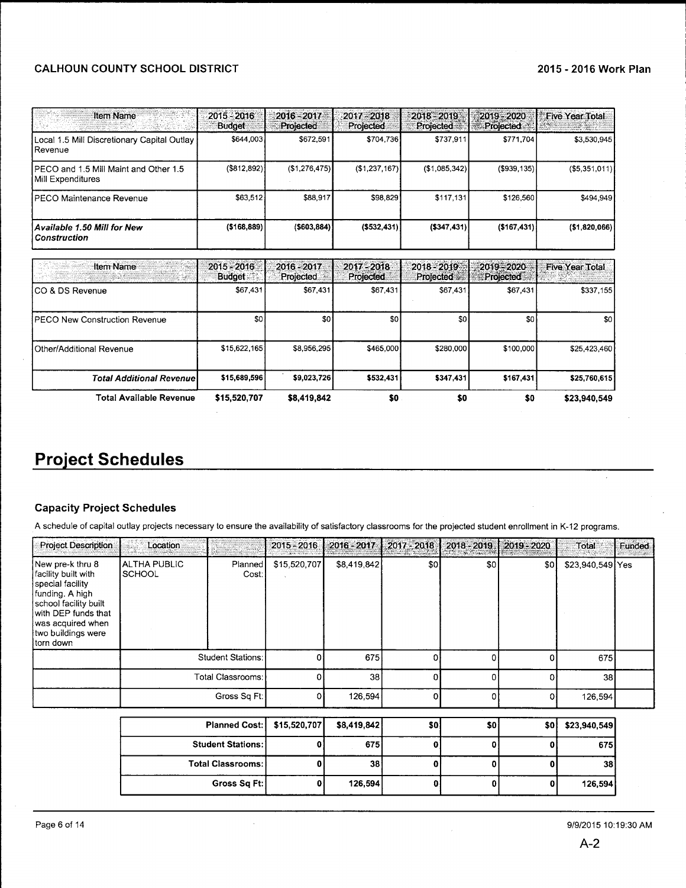# CALHOUN COUNTY SCHOOL DISTRICT

| <b>Item Name</b>                                           | 2015 - 2016<br><b>Budget</b>   | 2016 - 2017<br>Projected | $2017 - 2018$<br>Projected | 2018 - 2019<br>Projected | 2019 - 2020<br><b>Projected</b> | <b>Five Year Total</b> |
|------------------------------------------------------------|--------------------------------|--------------------------|----------------------------|--------------------------|---------------------------------|------------------------|
| Local 1.5 Mill Discretionary Capital Outlay<br>Revenue     | \$644,003                      | \$672,591                | \$704,736                  | \$737,911                | \$771,704                       | \$3,530,945            |
| PECO and 1.5 Mill Maint and Other 1.5<br>Mill Expenditures | $(\$812,892)]$                 | (\$1,276,475)            | (\$1,237,167)              | (\$1,085,342)            | ( \$939, 135)                   | ( \$5,351,011)         |
| IPECO Maintenance Revenue                                  | \$63,512                       | \$88,917                 | \$98,829                   | \$117,131                | \$126,560                       | \$494,949              |
| Available 1.50 Mill for New<br><b>Construction</b>         | ( \$168, 889)                  | ( \$603, 884)            | ( \$532,431)               | ( \$347, 431)            | (\$167,431)                     | ( \$1,820,066)         |
| <b>Item Name</b><br>IK TANGGUNI                            | $2015 - 2016$<br><b>Budget</b> | 2016 - 2017<br>Projected | 2017-2018<br>Projected     | 2018 - 2019<br>Projected | 2019 - 2020<br><b>Projected</b> | <b>Five Year Total</b> |
| CO & DS Revenue                                            | \$67,431                       | \$67,431                 | \$67,431                   | \$67,431                 | \$67,431                        | \$337,155              |
| PECO New Construction Revenue                              | \$0                            | \$0                      | \$0                        | \$0                      | \$0                             | \$0                    |
| Other/Additional Revenue                                   | \$15,622,165                   | \$8,956,295              | \$465,000                  | \$280,000                | \$100,000                       | \$25,423,460           |
| <b>Total Additional Revenue</b>                            | \$15,689,596                   | \$9.023,726              | \$532.431                  | \$347,431                | \$167,431                       | \$25,760,615           |
| Total Available Revenue                                    | \$15,520,707                   | \$8,419,842              | \$0                        | \$0                      | \$0                             | \$23,940,549           |

# **Project Schedules**

# Capacity Project Schedules

A schedule of capital outlay projects necessary to ensure the availability of satisfactory classrooms for the projected student enrollment in K-12 programs.

| <b>Project Description</b>                                                                                                                                                             | Location                                         |                               | $2015 - 2016$ | 2016-2017 2017-2018 |          | 2018 - 2019 | 2019 - 2020 | Total            | Funded |
|----------------------------------------------------------------------------------------------------------------------------------------------------------------------------------------|--------------------------------------------------|-------------------------------|---------------|---------------------|----------|-------------|-------------|------------------|--------|
| New pre-k thru 8<br>facility built with<br>special facility<br>funding. A high<br>school facility built<br>with DEP funds that<br>was acquired when<br>two buildings were<br>torn down | <b>ALTHA PUBLIC</b><br><b>SCHOOL</b>             | Planned <sup>1</sup><br>Cost: | \$15,520,707  | \$8,419,842         | \$0      | \$0         | \$0         | \$23,940,549 Yes |        |
|                                                                                                                                                                                        |                                                  | Student Stations:             |               | 675                 | Ωİ       |             |             | 675              |        |
|                                                                                                                                                                                        |                                                  | Total Classrooms:             | O             | 38                  | $\Omega$ |             | n           | 38               |        |
|                                                                                                                                                                                        |                                                  | Gross Sq Ft:                  | ΩI            | 126,594             | $\Omega$ |             | 0           | 126,594          |        |
|                                                                                                                                                                                        |                                                  |                               |               |                     |          |             |             |                  |        |
|                                                                                                                                                                                        | <b>Planned Cost:</b><br><b>Student Stations:</b> |                               | \$15,520,707  | \$8,419,842         | \$0      | \$0         | \$0         | \$23,940,549     |        |
|                                                                                                                                                                                        |                                                  |                               |               | 675                 | Ω        |             |             | 675              |        |
|                                                                                                                                                                                        |                                                  | <b>Total Classrooms:</b>      | O             | 38                  | n        |             |             | 38               |        |
|                                                                                                                                                                                        |                                                  | Gross Sq Ft:                  | 0             | 126,594             |          |             |             | 126,594          |        |

 $\overline{\phantom{a}}$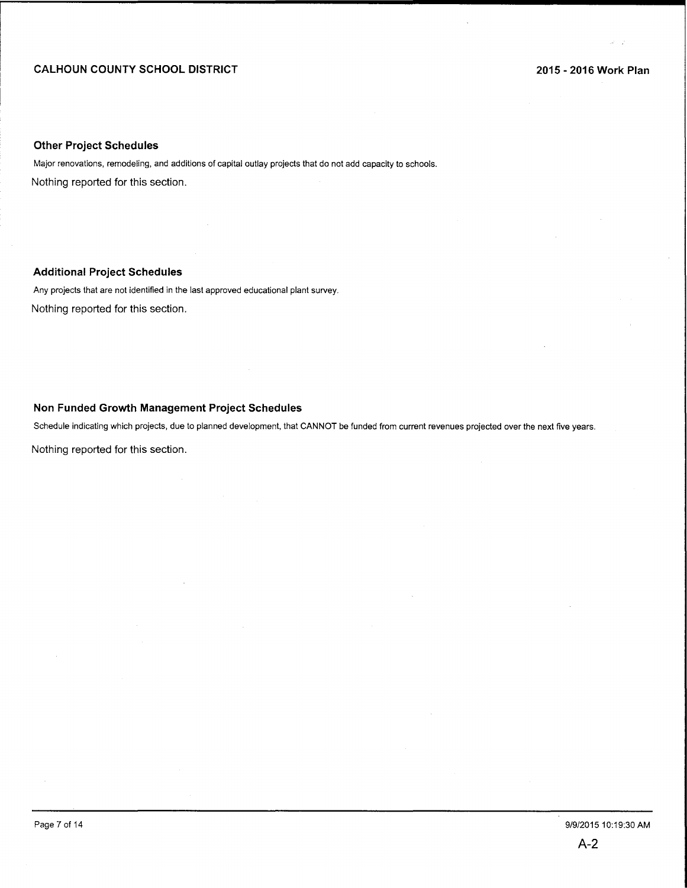# **CALHOUN COUNTY SCHOOL DISTRICT**

## **Other Project Schedules**

Major renovations, remodeling, and additions of capital outlay projects that do not add capacity to schools. Nothing reported for this section.

# **Additional Project Schedules**

Any projects that are not identified in the last approved educational plant survey. Nothing reported for this section.

### **Non Funded Growth Management Project Schedules**

Schedule indicating which projects, due to planned development, that CANNOT be funded from current revenues projected over the next five years.

Nothing reported for this section.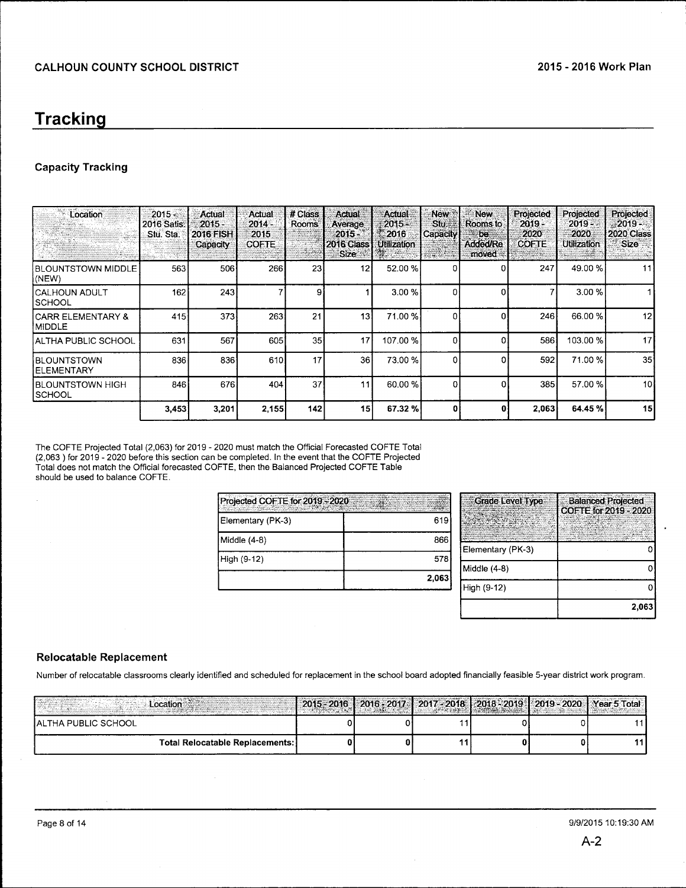# **Tracking**

# **Capacity Tracking**

| Location<br>160000000               | $2015 -$<br>2016 Satis.<br>Stu. Sta. | Actual<br>$2015 -$<br><b>2016 FISH</b><br>Capacity | Actual<br>2014 -<br>2015<br><b>COFTE</b> | # Class<br><b>Rooms</b> | <b>Actual</b><br><b>Average</b><br>$2015 -$<br><b>2016 Class</b><br>Size : | Actual<br>$2015 -$<br>2016<br><b>Utilization</b> | New:<br>Stu.<br>Capacity<br>296440000 | New<br>Rooms to<br>be.<br><b>Added/Re</b><br>moved - | Projected<br>$2019 -$<br>2020<br><b>COFTE</b> | Projected<br>$2019 -$<br>2020<br>Utilization | Projected<br>$-2019 -$<br>2020 Class<br><b>Size</b> |
|-------------------------------------|--------------------------------------|----------------------------------------------------|------------------------------------------|-------------------------|----------------------------------------------------------------------------|--------------------------------------------------|---------------------------------------|------------------------------------------------------|-----------------------------------------------|----------------------------------------------|-----------------------------------------------------|
| IBLOUNTSTOWN MIDDLE<br>(NEW)        | 563                                  | 506                                                | 266                                      | 23                      | 12                                                                         | 52.00 %                                          | 0                                     | 0                                                    | 247                                           | 49.00 %                                      | 11                                                  |
| ICALHOUN ADULT<br><b>I</b> SCHOOL   | 162                                  | 243                                                |                                          | 9                       |                                                                            | 3.00 %                                           | $\Omega$                              | 0                                                    |                                               | 3.00%                                        |                                                     |
| ICARR ELEMENTARY &<br>MIDDLE        | 415                                  | 373                                                | 263                                      | 21                      | 13                                                                         | 71.00 %                                          | C                                     | 0                                                    | 246                                           | 66.00 %                                      | 12                                                  |
| IALTHA PUBLIC SCHOOL                | 631                                  | 567                                                | 605                                      | 35                      | 17                                                                         | 107.00 %                                         | $\Omega$                              | Ω                                                    | 586                                           | 103.00 %                                     | 17                                                  |
| <b>IBLOUNTSTOWN</b><br>IELEMENTARY  | 836                                  | 836                                                | 610                                      | 17                      | 36                                                                         | 73.00 %                                          | <sup>0</sup>                          |                                                      | 592                                           | 71.00%                                       | 35 <sup>1</sup>                                     |
| <b>IBLOUNTSTOWN HIGH</b><br> SCHOOL | 846                                  | 676                                                | 404                                      | 37                      | 11                                                                         | 60.00 %                                          | o                                     |                                                      | 385                                           | 57.00 %                                      | 10 <sup>1</sup>                                     |
|                                     | 3,453                                | 3,201                                              | 2,155                                    | 142                     | 15 <sup>1</sup>                                                            | 67.32 %                                          | Ω                                     | n                                                    | 2,063                                         | 64.45 %                                      | 15                                                  |

The COFTE Projected Total (2,063) for 2019- 2020 must match the Official Forecasted COFTE Total (2,063) for 2019-2020 before this section can be completed. In the event that the COFTE Projected Total does not match the Official forecasted COFTE, then the Balanced Projected COFTE Table should be used to balance COFTE.

 $\sim$ 

<u> 1989 - Johann Barn, mars eta industrial eta industrial eta industrial eta industrial eta industrial eta indus</u>

| Projected COFTE for 2019 - 2020 |       |
|---------------------------------|-------|
| Elementary (PK-3)               | 619   |
| Middle (4-8)                    | 866   |
| High (9-12)                     | 578   |
|                                 | 2,063 |

| <b>Grade Level Type</b> | <b>Balanced Projected</b><br>COFTE for 2019 - 2020 |
|-------------------------|----------------------------------------------------|
| Elementary (PK-3)       |                                                    |
| Middle (4-8)            |                                                    |
| High (9-12)             |                                                    |
|                         | 2,063                                              |

# **Relocatable Replacement**

Number of relocatable classrooms clearly identified and scheduled for replacement in the school board adopted financially feasible 5-year district work program.

| ocation                           | $12015 - 2016$ | 2016, 2017.1 |  | 2017 - 2018   2018 - 2019   2019 - 2020   Year 5 Total |  |
|-----------------------------------|----------------|--------------|--|--------------------------------------------------------|--|
| <b>IALTHA PUBLIC SCHOOL</b>       |                |              |  |                                                        |  |
| Total Relocatable Replacements: ] |                |              |  |                                                        |  |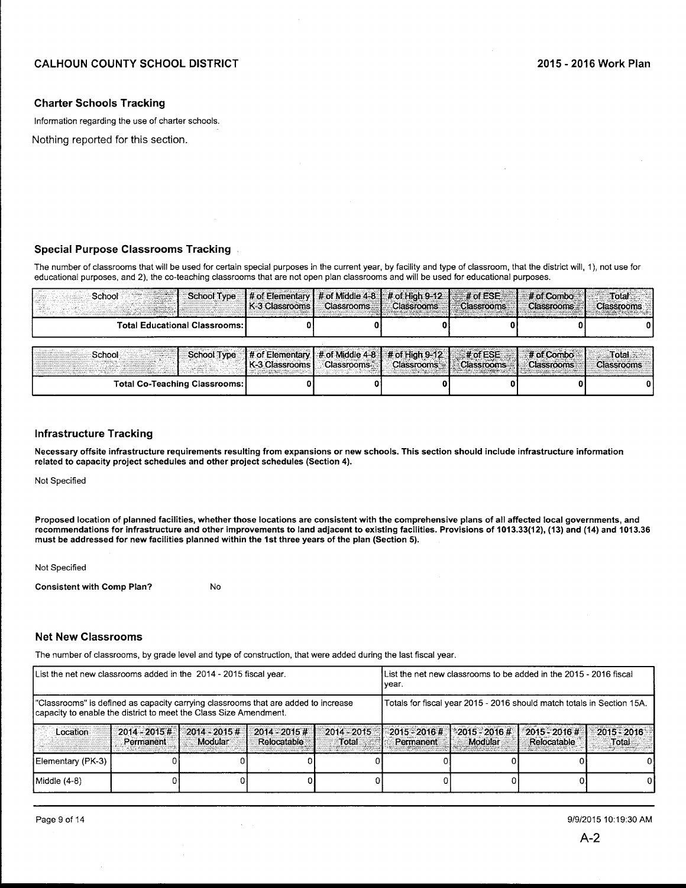#### Charter Schools Tracking

Information regarding the use of charter schools.

Nothing reported for this section.

#### Special Purpose Classrooms Tracking

The number of classrooms that will be used for certain special purposes in the current year, by facility and type of classroom, that the district will, 1), not use for educational purposes, and 2), the co-teaching classrooms that are not open plan classrooms and will be used for educational purposes.

| School                          |  | [K-3 Classrooms] Classrooms   Classrooms   Classrooms | School Type  # of Elementary  # of Middle 4-8  # of High 9-12  # of ESE  # df Combo<br>Classrooms # | Total<br><b>Classrooms</b> |
|---------------------------------|--|-------------------------------------------------------|-----------------------------------------------------------------------------------------------------|----------------------------|
| Total Educational Classrooms: I |  |                                                       |                                                                                                     |                            |

| School<br><b>Brunery</b>             | <b>I K-3 Classrooms L</b> | <b>Classrooms</b> | School Type  # of Elementary   # of Middle 4-8   # of High 9-12    # of ESE<br>Classrooms ** | <b>Classrooms</b> | # of Combo<br><b>Classrooms</b> | Total .<br><b>Classrooms</b> |
|--------------------------------------|---------------------------|-------------------|----------------------------------------------------------------------------------------------|-------------------|---------------------------------|------------------------------|
| <b>Total Co-Teaching Classrooms:</b> |                           |                   |                                                                                              |                   |                                 |                              |

## Infrastructure Tracking

Necessary offsite infrastructure requirements resulting from expansions or new schools. This section should include infrastructure information related to capacity project schedules and other project schedules (Section 4).

Not Specified

Proposed location of planned facilities, whether those locations are consistent with the comprehensive plans of all affected local governments, and recommendations for infrastructure and other improvements to land adjacent to existing facilities. Provisions of 1013.33(12), (13) and (14) and 1013.36 must be addressed for new facilities planned within the 1st three years of the plan (Section 5).

Not Specified

Consistent with Comp Plan? No

#### Net New Classrooms

The number of classrooms, by grade level and type of construction, that were added during the last fiscal year.

| List the net new classrooms added in the 2014 - 2015 fiscal year.                                                                                       | List the net new classrooms to be added in the 2015 - 2016 fiscal<br>Ivear. |                            |                                       |                        |                                                                        |                            |                                |                                               |  |
|---------------------------------------------------------------------------------------------------------------------------------------------------------|-----------------------------------------------------------------------------|----------------------------|---------------------------------------|------------------------|------------------------------------------------------------------------|----------------------------|--------------------------------|-----------------------------------------------|--|
| "Classrooms" is defined as capacity carrying classrooms that are added to increase<br>capacity to enable the district to meet the Class Size Amendment. |                                                                             |                            |                                       |                        | Totals for fiscal year 2015 - 2016 should match totals in Section 15A. |                            |                                |                                               |  |
| Location                                                                                                                                                | $2014 - 2015 +$<br>Permanent                                                | $2014 - 2015$ #<br>Modular | $2014 - 2015$ #<br><b>Relocatable</b> | $2014 - 2015$<br>Total | $2015 - 2016$ #<br>Permanent                                           | $2015 - 2016$ #<br>Modular | $2015 - 2016$ #<br>Relocatable | 2015 - 2016<br>Total<br>planting of good part |  |
| Elementary (PK-3)                                                                                                                                       |                                                                             |                            |                                       |                        |                                                                        |                            |                                |                                               |  |
| Middle (4-8)                                                                                                                                            |                                                                             |                            |                                       |                        |                                                                        |                            |                                |                                               |  |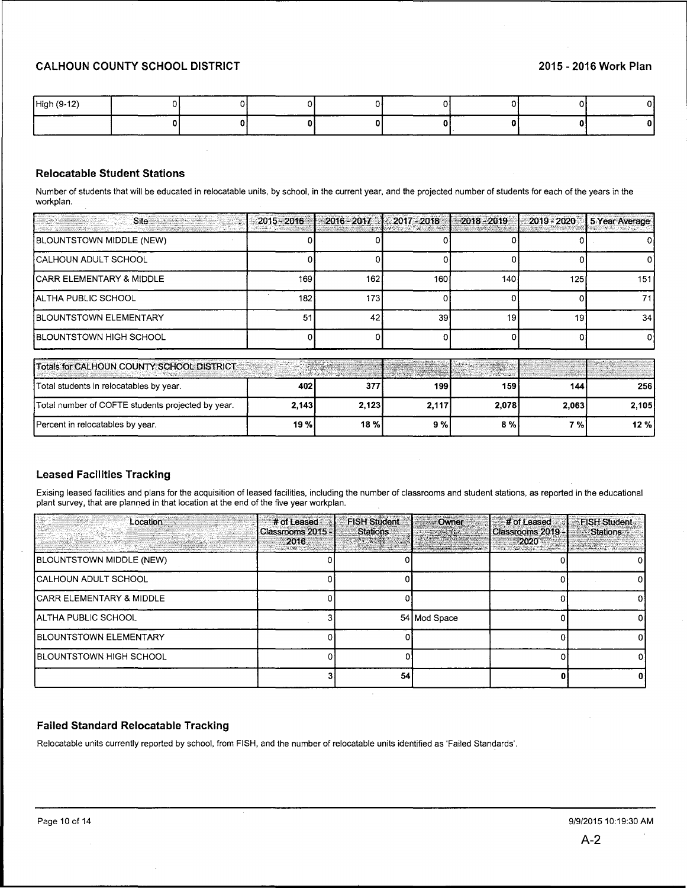| High (9-12) |             |  | _________ |  |  |
|-------------|-------------|--|-----------|--|--|
|             | ___________ |  |           |  |  |

# **Relocatable Student Stations**

Number of students that will be educated in relocatable units, by school, in the current year, and the projected number of students for each of the years in the workplan.

| Site                                     | $2015 - 2016$ |      | $\approx$ 2016 - 2017 $\approx$ 2017 - 2018                                                                                                                                                                                   | $2018 - 2019$ |     | 2019 - 2020   5 Year Average              |
|------------------------------------------|---------------|------|-------------------------------------------------------------------------------------------------------------------------------------------------------------------------------------------------------------------------------|---------------|-----|-------------------------------------------|
| BLOUNTSTOWN MIDDLE (NEW)                 |               |      |                                                                                                                                                                                                                               |               |     |                                           |
| <b>CALHOUN ADULT SCHOOL</b>              |               |      |                                                                                                                                                                                                                               |               |     |                                           |
| ICARR ELEMENTARY & MIDDLE                | 169           | 162  | 160                                                                                                                                                                                                                           | 140           | 125 | 1511                                      |
| IALTHA PUBLIC SCHOOL                     | 182           | 1731 |                                                                                                                                                                                                                               |               |     | 71 I                                      |
| <b>IBLOUNTSTOWN ELEMENTARY</b>           | -51           | 42   | 39                                                                                                                                                                                                                            | 19            | 19  | 34                                        |
| <b>BLOUNTSTOWN HIGH SCHOOL</b>           |               |      |                                                                                                                                                                                                                               |               |     |                                           |
| Tatal for CALUOUN COUNTY COUON NICTOICT. |               |      | the participants and constructions of the construction of the construction of the construction of the construction of the construction of the construction of the construction of the construction of the construction of the |               |     | i pro <del>den</del> Are an Incorporation |

| Totals for CALHOUN COUNTY SCHOOL DISTRICT         |       |        |       |       |       |       |
|---------------------------------------------------|-------|--------|-------|-------|-------|-------|
| Total students in relocatables by year.           | 402   | 3771   | 199 I | 159   | 144   | 256   |
| Total number of COFTE students projected by year. | 2,143 | 2.123  | 2,117 | 2.078 | 2,063 | 2.105 |
| Percent in relocatables by year.                  | 19%   | 18 % l | 9%    | 8 % I | 7 % i | 12%   |

# **Leased Facilities Tracking**

Exising leased facilities and plans for the acquisition of leased facilities, including the number of classrooms and student stations, as reported in the educational plant survey, that are planned in that location at the end of the five year workplan.

| Location                            | # of Leased<br>Classrooms 2015 -<br>2016 | <b>FISH Student</b><br><b>Stations</b><br><b>Continued</b> | Owner        | # of Leased<br>Classrooms 2019 -<br>2020 | <b>FISH Student</b><br><b>Stations</b><br>ha a sh |
|-------------------------------------|------------------------------------------|------------------------------------------------------------|--------------|------------------------------------------|---------------------------------------------------|
| <b>BLOUNTSTOWN MIDDLE (NEW)</b>     |                                          |                                                            |              |                                          |                                                   |
| <b>CALHOUN ADULT SCHOOL</b>         |                                          |                                                            |              |                                          |                                                   |
| <b>CARR ELEMENTARY &amp; MIDDLE</b> |                                          |                                                            |              |                                          |                                                   |
| IALTHA PUBLIC SCHOOL                |                                          |                                                            | 54 Mod Space |                                          |                                                   |
| <b>IBLOUNTSTOWN ELEMENTARY</b>      |                                          |                                                            |              |                                          |                                                   |
| <b>IBLOUNTSTOWN HIGH SCHOOL</b>     |                                          |                                                            |              |                                          |                                                   |
|                                     |                                          | 54                                                         |              |                                          |                                                   |

# **Failed Standard Relocatable Tracking**

Relocatable units currently reported by school, from FISH, and the number of relocatable units identified as 'Failed Standards'.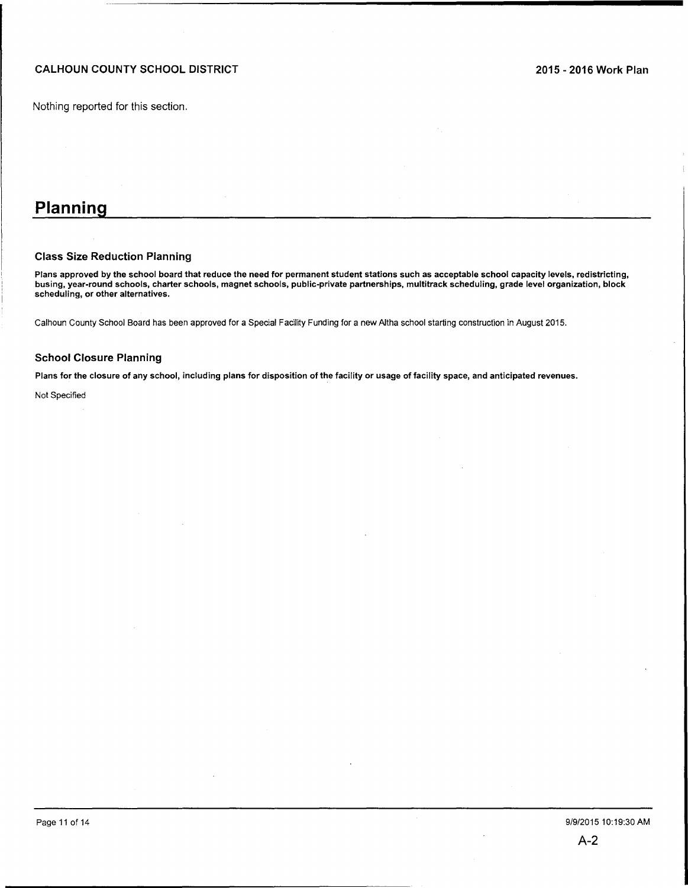Nothing reported for this section.

# **Planning**

#### Class Size Reduction Planning

Plans approved by the school board that reduce the need for permanent student stations such as acceptable school capacity levels, redistricting, busing, year-round schools, charter schools, magnet schools, public-private partnerships, multitrack scheduling, grade level organization, block scheduling, or other alternatives.

Calhoun County School Board has been approved for a Special Facility Funding for a new Altha school starting construction in August 2015.

#### School Closure Planning

Plans for the closure of any school, including plans for disposition of the facility or usage of facility space, and anticipated revenues.

Not Specified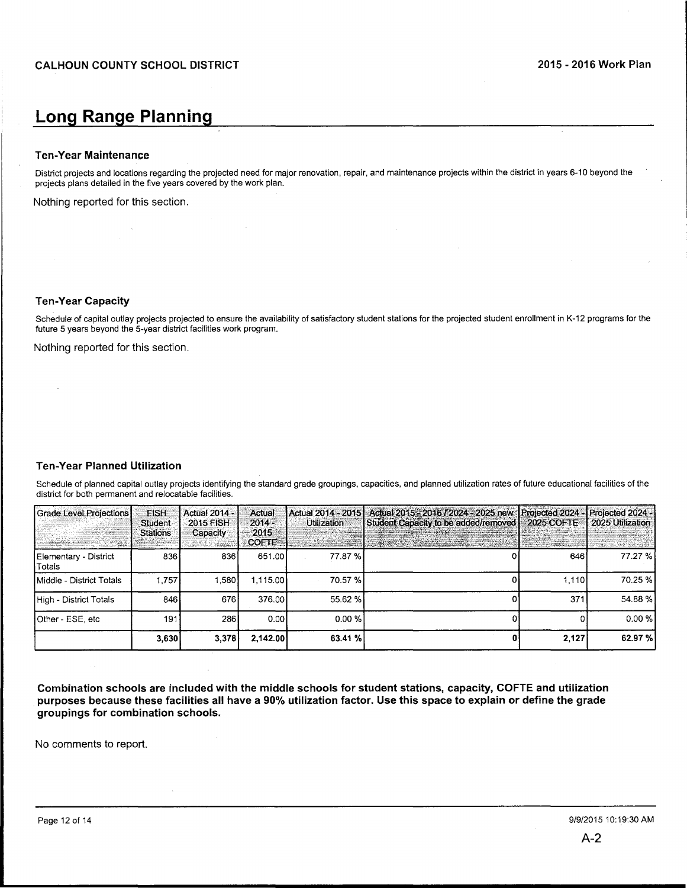# **Long Range Planning**

## **Ten-Year Maintenance**

District projects and locations regarding the projected need for major renovation, repair, and maintenance projects within the district in years 6-10 beyond the projects plans detailed in the five years covered by the work plan.

Nothing reported for this section.

#### **Ten-Year Capacity**

Schedule of capital outlay projects projected to ensure the availability of satisfactory student stations for the projected student enrollment in K-12 programs for the future 5 years beyond the 5-year district facilities work program.

Nothing reported for this section.

# **Ten-Year Planned Utilization**

Schedule of planned capital outlay projects identifying the standard grade groupings, capacities, and planned utilization rates of future educational facilities of the district for both permanent and relocatable facilities.

| Grade Level Projections<br><b>THE SECTION</b> | <b>FISH</b><br>Student<br><b>Stations</b> | <b>Actual 2014 -</b><br>2015 FISH<br>Capacity | Actual<br>$2014 -$<br>2015<br><b>COFTE</b> | <b>Utilization</b> | Actual 2014 - 2015   Actual 2015 - 2016 / 2024 - 2025 new Projected 2024 - Projected 2024 -<br>Student Capacity to be added/removed   2025 COFTE<br><b>The product of the control of the control of the control of the control of the control of the control</b> | <b>I ANDRE</b> | 2025 Utilization<br>$-35.0784$ |
|-----------------------------------------------|-------------------------------------------|-----------------------------------------------|--------------------------------------------|--------------------|------------------------------------------------------------------------------------------------------------------------------------------------------------------------------------------------------------------------------------------------------------------|----------------|--------------------------------|
| Elementary - District<br>∣Totals              | 836                                       | 836                                           | 651.00                                     | 77.87 %            |                                                                                                                                                                                                                                                                  | 646            | 77.27 %                        |
| Middle - District Totals                      | 1.757                                     | .580                                          | 1.115.00                                   | 70.57 %            |                                                                                                                                                                                                                                                                  | 1.110          | 70.25 %                        |
| High - District Totals                        | 846                                       | 676                                           | 376.00                                     | 55.62 %            |                                                                                                                                                                                                                                                                  | 371            | 54.88%                         |
| Other - ESE, etc                              | 191                                       | 286                                           | 0.001                                      | 0.00 %             |                                                                                                                                                                                                                                                                  |                | 0.00%                          |
|                                               | 3,630                                     | 3,378                                         | 2.142.00                                   | 63.41 %            |                                                                                                                                                                                                                                                                  | 2.127          | 62.97 %                        |

**Combination schools are included with the middle schools for student stations, capacity, COFTE and utilization purposes because these facilities all have a 90% utilization factor. Use this space to explain or define the grade groupings for combination schools.** 

No comments to report.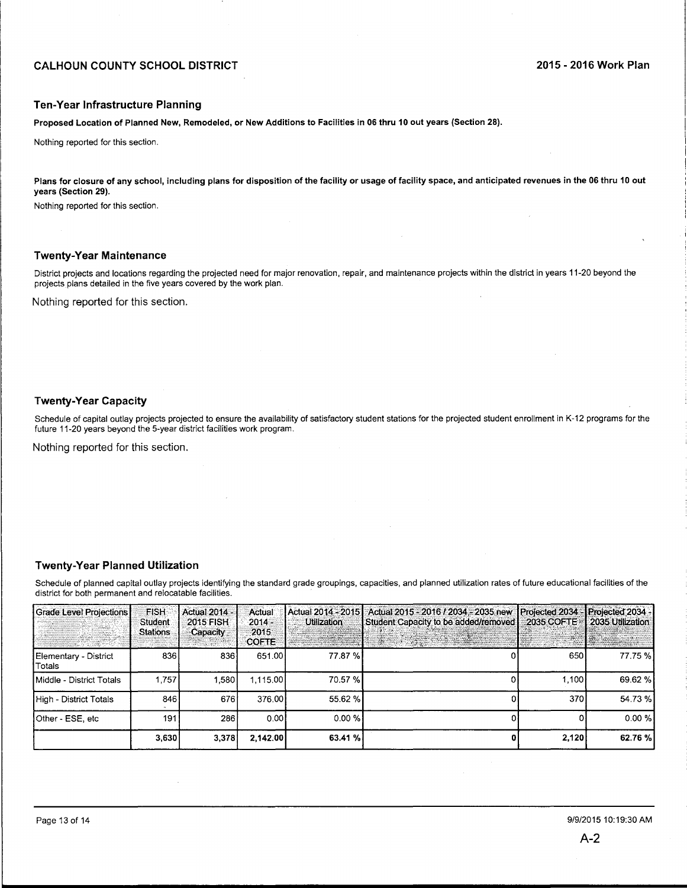#### **Ten-Year Infrastructure Planning**

**Proposed Location of Planned New, Remodeled, or New Additions to Facilities in 06 thru 10 out years (Section 28).** 

Nothing reported for this section.

**Plans for closure of any school, including plans for disposition of the facility or usage of facility space, and anticipated revenues in the 06 thru 10 out years (Section 29).** 

Nothing reported for this section.

# **Twenty-Year Maintenance**

District projects and locations regarding the projected need for major renovation, repair, and maintenance projects within the district in years 11-20 beyond the projects plans detailed in the five years covered by the work plan.

Nothing reported for this section.

# **Twenty-Year Capacity**

Schedule of capital outlay projects projected to ensure the availability of satisfactory student stations for the projected student enrollment in K-12 programs for the future 11-20 years beyond the 5-year district facilities work program.

Nothing reported for this section.

## **Twenty-Year Planned Utilization**

Schedule of planned capital outlay projects identifying the standard grade groupings, capacities, and planned utilization rates of future educational facilities of the district for both permanent and relocatable facilities.

| <b>Grade Level Projections</b>  | <b>FISH</b><br>Student<br><b>Stations</b> | <b>Actual 2014 -</b><br><b>2015 FISH</b><br>Capacity | Actual<br>$2014 -$<br>2015<br><b>COFTE</b> | <b>Utilization</b> | Actual 2014 - 2015   Actual 2015 - 2016 / 2034 - 2035 new<br>Student Capacity to be added/removed<br>n ya mwaka wa 1970<br>Matukio wa Matukio | Projected 2034 -<br>2035 COFTE | Projected 2034 -<br>2035 Utilization<br>45. |
|---------------------------------|-------------------------------------------|------------------------------------------------------|--------------------------------------------|--------------------|-----------------------------------------------------------------------------------------------------------------------------------------------|--------------------------------|---------------------------------------------|
| Elementary - District<br>Totals | 836                                       | 836                                                  | 651.00                                     | 77.87 %            |                                                                                                                                               | 650                            | 77.75 %                                     |
| Middle - District Totals        | 1.757                                     | 1.580                                                | 1.115.00                                   | 70.57 %            |                                                                                                                                               | 1.100                          | 69.62 %                                     |
| High - District Totals          | 846                                       | 676                                                  | 376.00                                     | 55.62 %            |                                                                                                                                               | 370                            | 54.73 %                                     |
| Other - ESE, etc                | 191                                       | 286                                                  | 0.00                                       | 0.00 %             |                                                                                                                                               |                                | 0.00 %                                      |
|                                 | 3.630                                     | 3.378                                                | 2.142.00                                   | 63.41%             |                                                                                                                                               | 2,120                          | 62.76 %                                     |